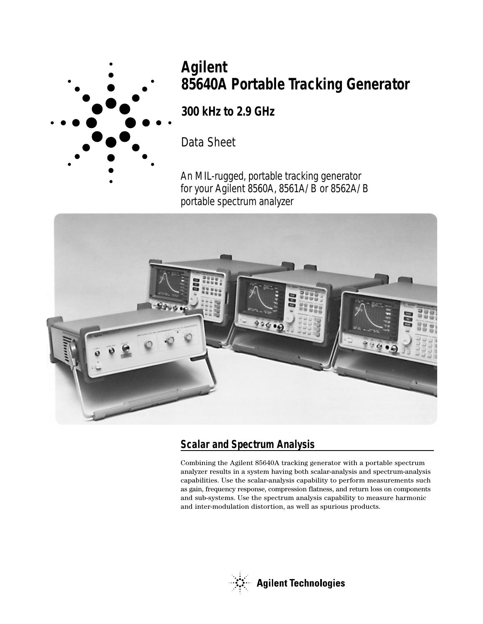

**Agilent 85640A Portable Tracking Generator**

**300 kHz to 2.9 GHz**

Data Sheet

An MIL-rugged, portable tracking generator for your Agilent 8560A, 8561A/B or 8562A/B portable spectrum analyzer



# **Scalar and Spectrum Analysis**

Combining the Agilent 85640A tracking generator with a portable spectrum analyzer results in a system having both scalar-analysis and spectrum-analysis capabilities. Use the scalar-analysis capability to perform measurements such as gain, frequency response, compression flatness, and return loss on components and sub-systems. Use the spectrum analysis capability to measure harmonic and inter-modulation distortion, as well as spurious products.

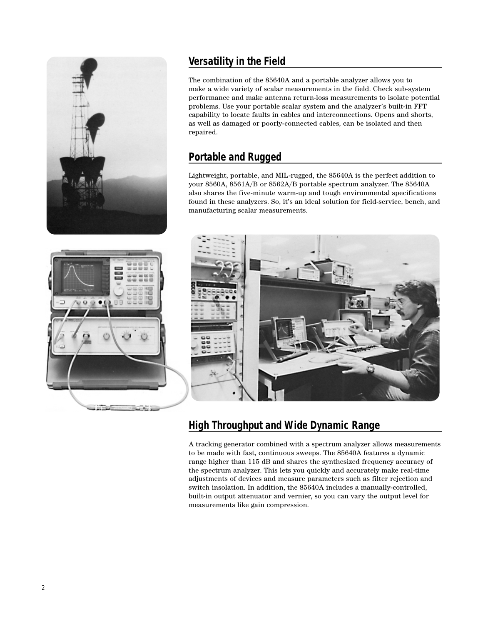

## **Versatility in the Field**

The combination of the 85640A and a portable analyzer allows you to make a wide variety of scalar measurements in the field. Check sub-system performance and make antenna return-loss measurements to isolate potential problems. Use your portable scalar system and the analyzer's built-in FFT capability to locate faults in cables and interconnections. Opens and shorts, as well as damaged or poorly-connected cables, can be isolated and then repaired.

## **Portable and Rugged**

Lightweight, portable, and MIL-rugged, the 85640A is the perfect addition to your 8560A, 8561A/B or 8562A/B portable spectrum analyzer. The 85640A also shares the five-minute warm-up and tough environmental specifications found in these analyzers. So, it's an ideal solution for field-service, bench, and manufacturing scalar measurements.



**High Throughput and Wide Dynamic Range**

A tracking generator combined with a spectrum analyzer allows measurements to be made with fast, continuous sweeps. The 85640A features a dynamic range higher than 115 dB and shares the synthesized frequency accuracy of the spectrum analyzer. This lets you quickly and accurately make real-time adjustments of devices and measure parameters such as filter rejection and switch insolation. In addition, the 85640A includes a manually-controlled, built-in output attenuator and vernier, so you can vary the output level for measurements like gain compression.

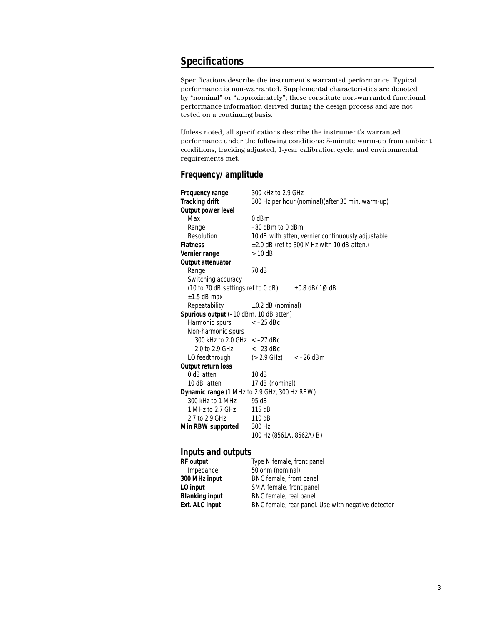## **Specifications**

Specifications describe the instrument's warranted performance. Typical performance is non-warranted. Supplemental characteristics are denoted by "nominal" or "approximately"; these constitute non-warranted functional performance information derived during the design process and are not tested on a continuing basis.

Unless noted, all specifications describe the instrument's warranted performance under the following conditions: 5-minute warm-up from ambient conditions, tracking adjusted, 1-year calibration cycle, and environmental requirements met.

## **Frequency/amplitude**

| Frequency range<br><b>Tracking drift</b>              | 300 kHz to 2.9 GHz<br>300 Hz per hour (nominal) (after 30 min. warm-up) |  |
|-------------------------------------------------------|-------------------------------------------------------------------------|--|
| Output power level                                    |                                                                         |  |
| Max                                                   | 0 dBm                                                                   |  |
| Range                                                 | $-80$ dBm to 0 dBm                                                      |  |
| Resolution                                            | 10 dB with atten, vernier continuously adjustable                       |  |
| <b>Flatness</b>                                       | ±2.0 dB (ref to 300 MHz with 10 dB atten.)                              |  |
| Vernier range                                         | $>10$ dB                                                                |  |
| Output attenuator                                     |                                                                         |  |
| Range                                                 | 70 dB                                                                   |  |
| Switching accuracy                                    |                                                                         |  |
| (10 to 70 dB settings ref to 0 dB) $\pm 0.8$ dB/1Ø dB |                                                                         |  |
| $+1.5$ dB max                                         |                                                                         |  |
| Repeatability                                         | $\pm 0.2$ dB (nominal)                                                  |  |
| Spurious output (-10 dBm, 10 dB atten)                |                                                                         |  |
| Harmonic spurs                                        | $<-25$ dBc                                                              |  |
| Non-harmonic spurs                                    |                                                                         |  |
| 300 kHz to 2.0 GHz $<-27$ dBc                         |                                                                         |  |
| 2.0 to 2.9 GHz $\sim$ -23 dBc                         |                                                                         |  |
| LO feedthrough                                        | (> 2.9 GHz) < -26 dBm                                                   |  |
| <b>Output return loss</b>                             |                                                                         |  |
| 0 dB atten                                            | 10dB                                                                    |  |
| 10 dB atten                                           | 17 dB (nominal)                                                         |  |
| Dynamic range (1 MHz to 2.9 GHz, 300 Hz RBW)          |                                                                         |  |
| 300 kHz to 1 MHz                                      | 95 dB                                                                   |  |
| 1 MHz to 2.7 GHz 115 dB                               |                                                                         |  |
| 2.7 to 2.9 GHz                                        | 110 $dB$                                                                |  |
| Min RBW supported                                     | 300 Hz                                                                  |  |
|                                                       | 100 Hz (8561A, 8562A/B)                                                 |  |
|                                                       |                                                                         |  |

### **Inputs and outputs**

| Type N female, front panel                         |
|----------------------------------------------------|
| 50 ohm (nominal)                                   |
| BNC female, front panel                            |
| SMA female, front panel                            |
| BNC female, real panel                             |
| BNC female, rear panel. Use with negative detector |
|                                                    |